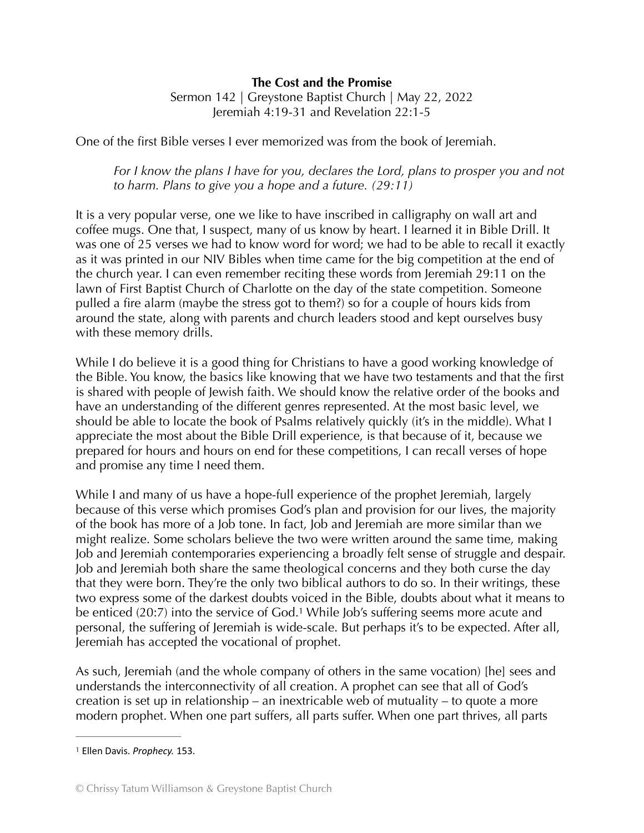## **The Cost and the Promise**

Sermon 142 | Greystone Baptist Church | May 22, 2022 Jeremiah 4:19-31 and Revelation 22:1-5

One of the first Bible verses I ever memorized was from the book of Jeremiah.

For I know the plans I have for you, declares the Lord, plans to prosper you and not *to harm. Plans to give you a hope and a future. (29:11)* 

It is a very popular verse, one we like to have inscribed in calligraphy on wall art and coffee mugs. One that, I suspect, many of us know by heart. I learned it in Bible Drill. It was one of 25 verses we had to know word for word; we had to be able to recall it exactly as it was printed in our NIV Bibles when time came for the big competition at the end of the church year. I can even remember reciting these words from Jeremiah 29:11 on the lawn of First Baptist Church of Charlotte on the day of the state competition. Someone pulled a fire alarm (maybe the stress got to them?) so for a couple of hours kids from around the state, along with parents and church leaders stood and kept ourselves busy with these memory drills.

While I do believe it is a good thing for Christians to have a good working knowledge of the Bible. You know, the basics like knowing that we have two testaments and that the first is shared with people of Jewish faith. We should know the relative order of the books and have an understanding of the different genres represented. At the most basic level, we should be able to locate the book of Psalms relatively quickly (it's in the middle). What I appreciate the most about the Bible Drill experience, is that because of it, because we prepared for hours and hours on end for these competitions, I can recall verses of hope and promise any time I need them.

While I and many of us have a hope-full experience of the prophet Jeremiah, largely because of this verse which promises God's plan and provision for our lives, the majority of the book has more of a Job tone. In fact, Job and Jeremiah are more similar than we might realize. Some scholars believe the two were written around the same time, making Job and Jeremiah contemporaries experiencing a broadly felt sense of struggle and despair. Job and Jeremiah both share the same theological concerns and they both curse the day that they were born. They're the only two biblical authors to do so. In their writings, these two express some of the darkest doubts voiced in the Bible, doubts about what it means to be enticed (20:7) into the service of God.<sup>[1](#page-0-0)</sup> While Job's suffering seems more acute and personal, the suffering of Jeremiah is wide-scale. But perhaps it's to be expected. After all, Jeremiah has accepted the vocational of prophet.

<span id="page-0-1"></span>As such, Jeremiah (and the whole company of others in the same vocation) [he] sees and understands the interconnectivity of all creation. A prophet can see that all of God's creation is set up in relationship – an inextricable web of mutuality – to quote a more modern prophet. When one part suffers, all parts suffer. When one part thrives, all parts

<span id="page-0-0"></span><sup>&</sup>lt;sup>[1](#page-0-1)</sup> Ellen Davis. *Prophecy*. 153.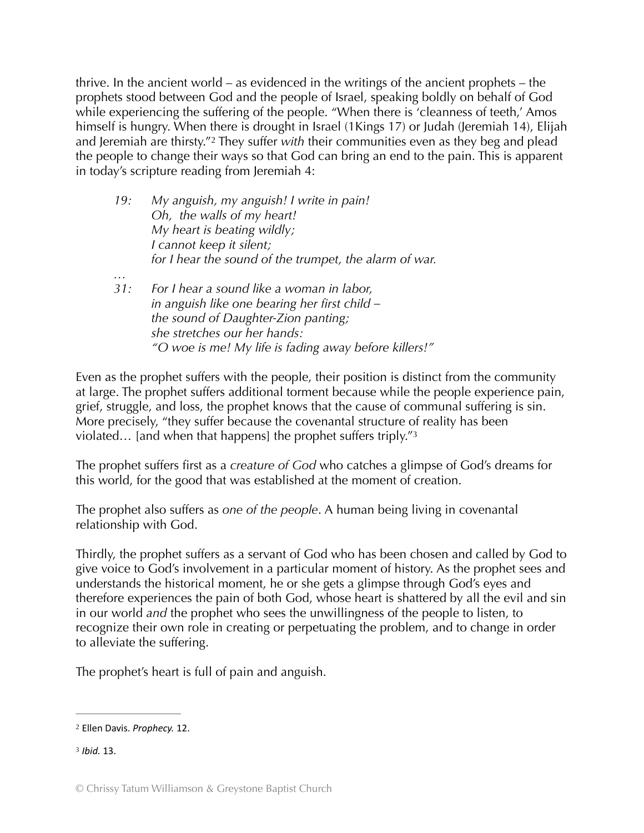thrive. In the ancient world – as evidenced in the writings of the ancient prophets – the prophets stood between God and the people of Israel, speaking boldly on behalf of God while experiencing the suffering of the people. "When there is 'cleanness of teeth,' Amos himself is hungry. When there is drought in Israel (1Kings 17) or Judah (Jeremiah 14), Elijah and Jeremiah are thirsty."<sup>2</sup> They suffer *with* their communities even as they beg and plead the people to change their ways so that God can bring an end to the pain. This is apparent in today's scripture reading from Jeremiah 4:

<span id="page-1-2"></span>

| 19: | My anguish, my anguish! I write in pain!               |
|-----|--------------------------------------------------------|
|     | Oh, the walls of my heart!                             |
|     | My heart is beating wildly;                            |
|     | I cannot keep it silent;                               |
|     | for I hear the sound of the trumpet, the alarm of war. |
|     |                                                        |

<span id="page-1-3"></span>*31: For I hear a sound like a woman in labor, in anguish like one bearing her first child – the sound of Daughter-Zion panting; she stretches our her hands: "O woe is me! My life is fading away before killers!"* 

Even as the prophet suffers with the people, their position is distinct from the community at large. The prophet suffers additional torment because while the people experience pain, grief, struggle, and loss, the prophet knows that the cause of communal suffering is sin. More precisely, "they suffer because the covenantal structure of reality has been violated... [and when that happens] the prophet suffers triply."  $3$ 

The prophet suffers first as a *creature of God* who catches a glimpse of God's dreams for this world, for the good that was established at the moment of creation.

The prophet also suffers as *one of the people*. A human being living in covenantal relationship with God.

Thirdly, the prophet suffers as a servant of God who has been chosen and called by God to give voice to God's involvement in a particular moment of history. As the prophet sees and understands the historical moment, he or she gets a glimpse through God's eyes and therefore experiences the pain of both God, whose heart is shattered by all the evil and sin in our world *and* the prophet who sees the unwillingness of the people to listen, to recognize their own role in creating or perpetuating the problem, and to change in order to alleviate the suffering.

The prophet's heart is full of pain and anguish.

<span id="page-1-1"></span>*Ibid.* 13. [3](#page-1-3)

<span id="page-1-0"></span><sup>&</sup>lt;sup>[2](#page-1-2)</sup> Ellen Davis. *Prophecy*. 12.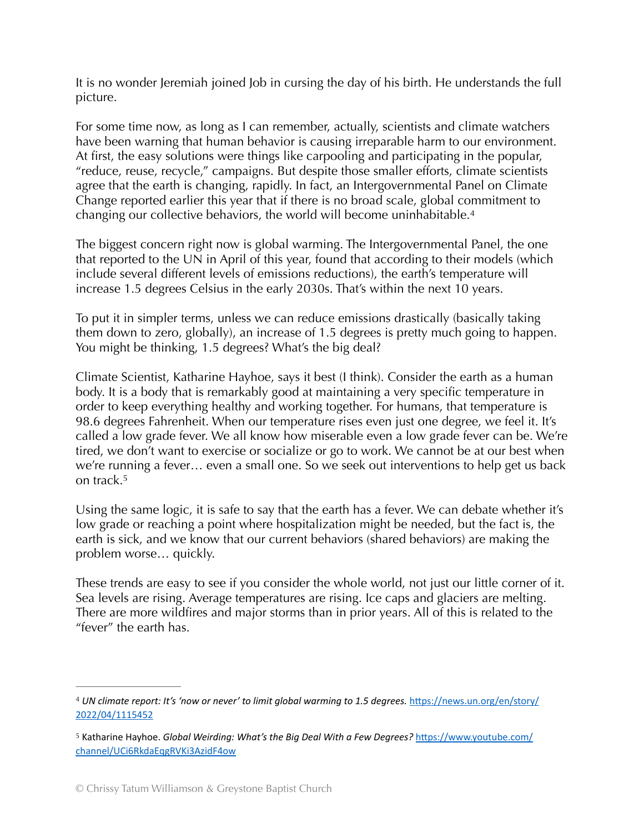It is no wonder Jeremiah joined Job in cursing the day of his birth. He understands the full picture.

For some time now, as long as I can remember, actually, scientists and climate watchers have been warning that human behavior is causing irreparable harm to our environment. At first, the easy solutions were things like carpooling and participating in the popular, "reduce, reuse, recycle," campaigns. But despite those smaller efforts, climate scientists agree that the earth is changing, rapidly. In fact, an Intergovernmental Panel on Climate Change reported earlier this year that if there is no broad scale, global commitment to changing our collective behaviors, the world will become uninhabitable[. 4](#page-2-0)

<span id="page-2-2"></span>The biggest concern right now is global warming. The Intergovernmental Panel, the one that reported to the UN in April of this year, found that according to their models (which include several different levels of emissions reductions), the earth's temperature will increase 1.5 degrees Celsius in the early 2030s. That's within the next 10 years.

To put it in simpler terms, unless we can reduce emissions drastically (basically taking them down to zero, globally), an increase of 1.5 degrees is pretty much going to happen. You might be thinking, 1.5 degrees? What's the big deal?

Climate Scientist, Katharine Hayhoe, says it best (I think). Consider the earth as a human body. It is a body that is remarkably good at maintaining a very specific temperature in order to keep everything healthy and working together. For humans, that temperature is 98.6 degrees Fahrenheit. When our temperature rises even just one degree, we feel it. It's called a low grade fever. We all know how miserable even a low grade fever can be. We're tired, we don't want to exercise or socialize or go to work. We cannot be at our best when we're running a fever… even a small one. So we seek out interventions to help get us back on track.<sup>[5](#page-2-1)</sup>

<span id="page-2-3"></span>Using the same logic, it is safe to say that the earth has a fever. We can debate whether it's low grade or reaching a point where hospitalization might be needed, but the fact is, the earth is sick, and we know that our current behaviors (shared behaviors) are making the problem worse… quickly.

These trends are easy to see if you consider the whole world, not just our little corner of it. Sea levels are rising. Average temperatures are rising. Ice caps and glaciers are melting. There are more wildfires and major storms than in prior years. All of this is related to the "fever" the earth has.

<span id="page-2-0"></span><sup>&</sup>lt;sup>[4](#page-2-2)</sup> UN climate report: It's 'now or never' to limit global warming to 1.5 degrees. https://news.un.org/en/story/ [2022/04/1115452](https://news.un.org/en/story/2022/04/1115452)

<span id="page-2-1"></span>[<sup>5</sup>](#page-2-3) Katharine Hayhoe. *Global Weirding: What's the Big Deal With a Few Degrees?* https://www.youtube.com/ [channel/UCi6RkdaEqgRVKi3AzidF4ow](https://www.youtube.com/channel/UCi6RkdaEqgRVKi3AzidF4ow)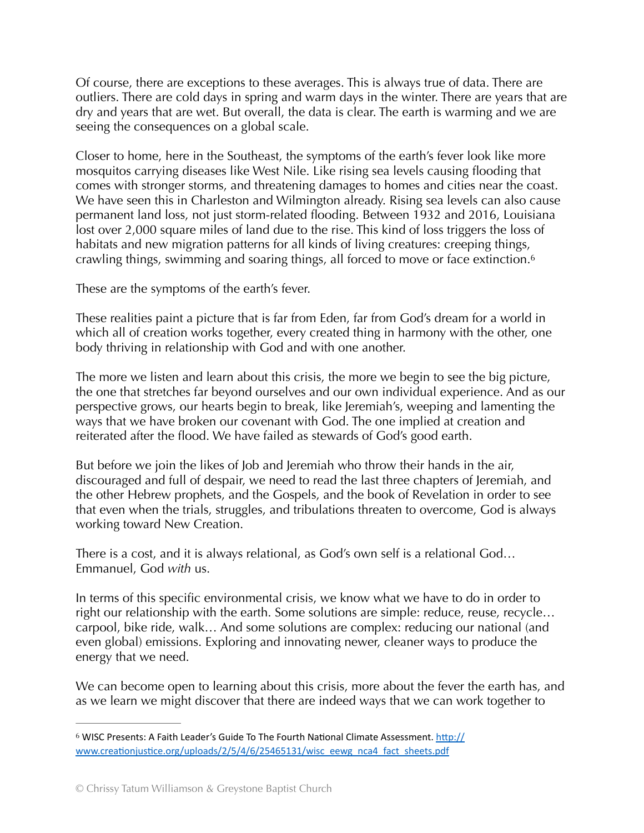Of course, there are exceptions to these averages. This is always true of data. There are outliers. There are cold days in spring and warm days in the winter. There are years that are dry and years that are wet. But overall, the data is clear. The earth is warming and we are seeing the consequences on a global scale.

Closer to home, here in the Southeast, the symptoms of the earth's fever look like more mosquitos carrying diseases like West Nile. Like rising sea levels causing flooding that comes with stronger storms, and threatening damages to homes and cities near the coast. We have seen this in Charleston and Wilmington already. Rising sea levels can also cause permanent land loss, not just storm-related flooding. Between 1932 and 2016, Louisiana lost over 2,000 square miles of land due to the rise. This kind of loss triggers the loss of habitats and new migration patterns for all kinds of living creatures: creeping things, crawling things, swimming and soaring things, all forced to move or face extinction. [6](#page-3-0)

<span id="page-3-1"></span>These are the symptoms of the earth's fever.

These realities paint a picture that is far from Eden, far from God's dream for a world in which all of creation works together, every created thing in harmony with the other, one body thriving in relationship with God and with one another.

The more we listen and learn about this crisis, the more we begin to see the big picture, the one that stretches far beyond ourselves and our own individual experience. And as our perspective grows, our hearts begin to break, like Jeremiah's, weeping and lamenting the ways that we have broken our covenant with God. The one implied at creation and reiterated after the flood. We have failed as stewards of God's good earth.

But before we join the likes of Job and Jeremiah who throw their hands in the air, discouraged and full of despair, we need to read the last three chapters of Jeremiah, and the other Hebrew prophets, and the Gospels, and the book of Revelation in order to see that even when the trials, struggles, and tribulations threaten to overcome, God is always working toward New Creation.

There is a cost, and it is always relational, as God's own self is a relational God… Emmanuel, God *with* us.

In terms of this specific environmental crisis, we know what we have to do in order to right our relationship with the earth. Some solutions are simple: reduce, reuse, recycle… carpool, bike ride, walk… And some solutions are complex: reducing our national (and even global) emissions. Exploring and innovating newer, cleaner ways to produce the energy that we need.

We can become open to learning about this crisis, more about the fever the earth has, and as we learn we might discover that there are indeed ways that we can work together to

<span id="page-3-0"></span>[<sup>6</sup>](#page-3-1) WISC Presents: A Faith Leader's Guide To The Fourth National Climate Assessment. http:// www.creationjustice.org/uploads/2/5/4/6/25465131/wisc\_eewg\_nca4\_fact\_sheets.pdf